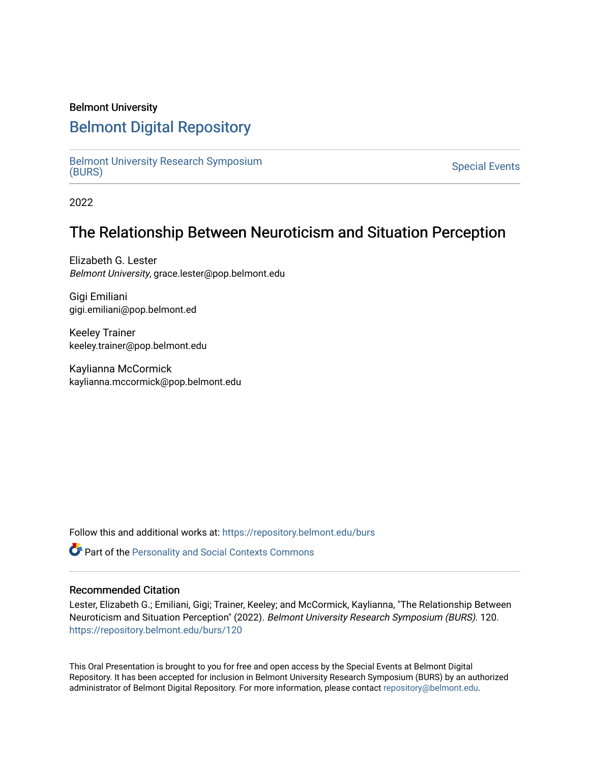### Belmont University

# [Belmont Digital Repository](https://repository.belmont.edu/)

[Belmont University Research Symposium](https://repository.belmont.edu/burs)<br>(BURS) Bernont University Research Symposium<br>[\(BURS\)](https://repository.belmont.edu/burs) Special Events

2022

## The Relationship Between Neuroticism and Situation Perception

Elizabeth G. Lester Belmont University, grace.lester@pop.belmont.edu

Gigi Emiliani gigi.emiliani@pop.belmont.ed

Keeley Trainer keeley.trainer@pop.belmont.edu

Kaylianna McCormick kaylianna.mccormick@pop.belmont.edu

Follow this and additional works at: [https://repository.belmont.edu/burs](https://repository.belmont.edu/burs?utm_source=repository.belmont.edu%2Fburs%2F120&utm_medium=PDF&utm_campaign=PDFCoverPages)

**Part of the [Personality and Social Contexts Commons](http://network.bepress.com/hgg/discipline/413?utm_source=repository.belmont.edu%2Fburs%2F120&utm_medium=PDF&utm_campaign=PDFCoverPages)** 

### Recommended Citation

Lester, Elizabeth G.; Emiliani, Gigi; Trainer, Keeley; and McCormick, Kaylianna, "The Relationship Between Neuroticism and Situation Perception" (2022). Belmont University Research Symposium (BURS). 120. [https://repository.belmont.edu/burs/120](https://repository.belmont.edu/burs/120?utm_source=repository.belmont.edu%2Fburs%2F120&utm_medium=PDF&utm_campaign=PDFCoverPages)

This Oral Presentation is brought to you for free and open access by the Special Events at Belmont Digital Repository. It has been accepted for inclusion in Belmont University Research Symposium (BURS) by an authorized administrator of Belmont Digital Repository. For more information, please contact [repository@belmont.edu](mailto:repository@belmont.edu).